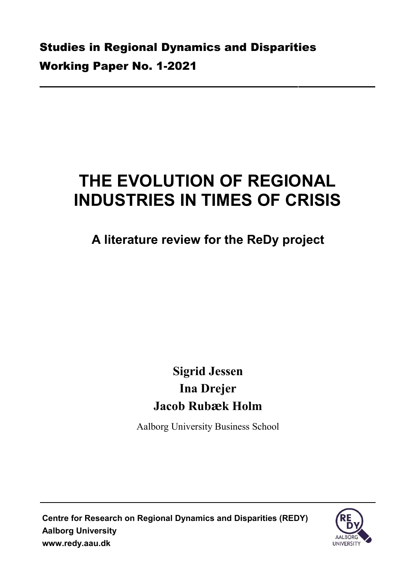# **THE EVOLUTION OF REGIONAL INDUSTRIES IN TIMES OF CRISIS**

**A literature review for the ReDy project**

# **Sigrid Jessen Ina Drejer Jacob Rubæk Holm**

Aalborg University Business School

**Centre for Research on Regional Dynamics and Disparities (REDY) Aalborg University [www.redy.aau.dk](http://www.redy.aau.dk/)**

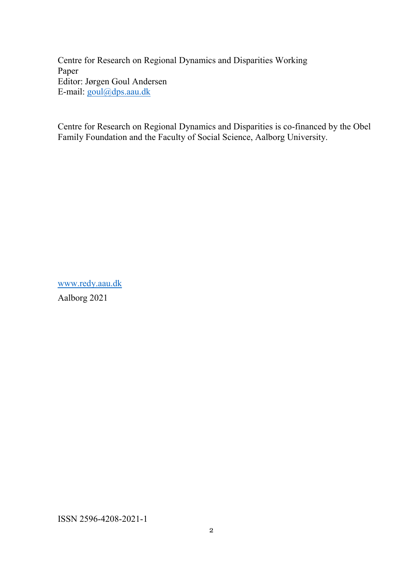Centre for Research on Regional Dynamics and Disparities Working Paper Editor: Jørgen Goul Andersen E-mail: [goul@dps.aau.dk](mailto:goul@dps.aau.dk)

Centre for Research on Regional Dynamics and Disparities is co-financed by the Obel Family Foundation and the Faculty of Social Science, Aalborg University.

[www.redy.aau.dk](http://www.redy.aau.dk/) Aalborg 2021

ISSN 2596-4208-2021-1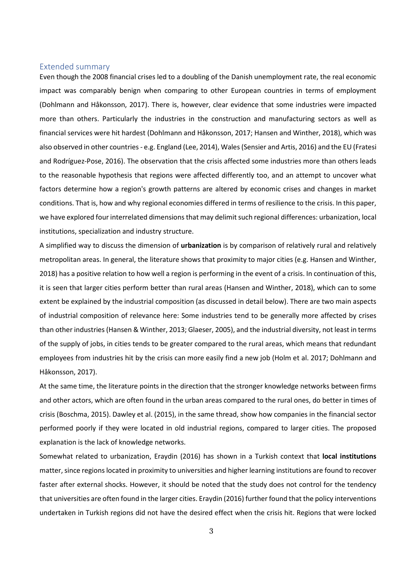#### Extended summary

Even though the 2008 financial crises led to a doubling of the Danish unemployment rate, the real economic impact was comparably benign when comparing to other European countries in terms of employment (Dohlmann and Håkonsson, 2017). There is, however, clear evidence that some industries were impacted more than others. Particularly the industries in the construction and manufacturing sectors as well as financial services were hit hardest (Dohlmann and Håkonsson, 2017; Hansen and Winther, 2018), which was also observed in other countries - e.g. England (Lee, 2014), Wales (Sensier and Artis, 2016) and the EU (Fratesi and Rodríguez-Pose, 2016). The observation that the crisis affected some industries more than others leads to the reasonable hypothesis that regions were affected differently too, and an attempt to uncover what factors determine how a region's growth patterns are altered by economic crises and changes in market conditions. That is, how and why regional economies differed in terms of resilience to the crisis. In this paper, we have explored four interrelated dimensions that may delimit such regional differences: urbanization, local institutions, specialization and industry structure.

A simplified way to discuss the dimension of **urbanization** is by comparison of relatively rural and relatively metropolitan areas. In general, the literature shows that proximity to major cities (e.g. Hansen and Winther, 2018) has a positive relation to how well a region is performing in the event of a crisis. In continuation of this, it is seen that larger cities perform better than rural areas (Hansen and Winther, 2018), which can to some extent be explained by the industrial composition (as discussed in detail below). There are two main aspects of industrial composition of relevance here: Some industries tend to be generally more affected by crises than other industries(Hansen & Winther, 2013; Glaeser, 2005), and the industrial diversity, not least in terms of the supply of jobs, in cities tends to be greater compared to the rural areas, which means that redundant employees from industries hit by the crisis can more easily find a new job (Holm et al. 2017; Dohlmann and Håkonsson, 2017).

At the same time, the literature points in the direction that the stronger knowledge networks between firms and other actors, which are often found in the urban areas compared to the rural ones, do better in times of crisis (Boschma, 2015). Dawley et al. (2015), in the same thread, show how companies in the financial sector performed poorly if they were located in old industrial regions, compared to larger cities. The proposed explanation is the lack of knowledge networks.

Somewhat related to urbanization, Eraydin (2016) has shown in a Turkish context that **local institutions** matter, since regions located in proximity to universities and higher learning institutions are found to recover faster after external shocks. However, it should be noted that the study does not control for the tendency that universities are often found in the larger cities. Eraydin (2016) further found that the policy interventions undertaken in Turkish regions did not have the desired effect when the crisis hit. Regions that were locked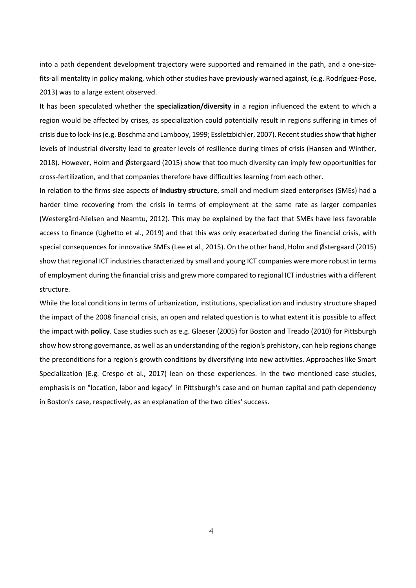into a path dependent development trajectory were supported and remained in the path, and a one-sizefits-all mentality in policy making, which other studies have previously warned against, (e.g. Rodríguez-Pose, 2013) was to a large extent observed.

It has been speculated whether the **specialization/diversity** in a region influenced the extent to which a region would be affected by crises, as specialization could potentially result in regions suffering in times of crisis due to lock-ins (e.g. Boschma and Lambooy, 1999; Essletzbichler, 2007). Recent studies show that higher levels of industrial diversity lead to greater levels of resilience during times of crisis (Hansen and Winther, 2018). However, Holm and Østergaard (2015) show that too much diversity can imply few opportunities for cross-fertilization, and that companies therefore have difficulties learning from each other.

In relation to the firms-size aspects of **industry structure**, small and medium sized enterprises (SMEs) had a harder time recovering from the crisis in terms of employment at the same rate as larger companies (Westergård-Nielsen and Neamtu, 2012). This may be explained by the fact that SMEs have less favorable access to finance (Ughetto et al., 2019) and that this was only exacerbated during the financial crisis, with special consequences for innovative SMEs (Lee et al., 2015). On the other hand, Holm and Østergaard (2015) show that regional ICT industries characterized by small and young ICT companies were more robust in terms of employment during the financial crisis and grew more compared to regional ICT industries with a different structure.

While the local conditions in terms of urbanization, institutions, specialization and industry structure shaped the impact of the 2008 financial crisis, an open and related question is to what extent it is possible to affect the impact with **policy**. Case studies such as e.g. Glaeser (2005) for Boston and Treado (2010) for Pittsburgh show how strong governance, as well as an understanding of the region's prehistory, can help regions change the preconditions for a region's growth conditions by diversifying into new activities. Approaches like Smart Specialization (E.g. Crespo et al., 2017) lean on these experiences. In the two mentioned case studies, emphasis is on "location, labor and legacy" in Pittsburgh's case and on human capital and path dependency in Boston's case, respectively, as an explanation of the two cities' success.

4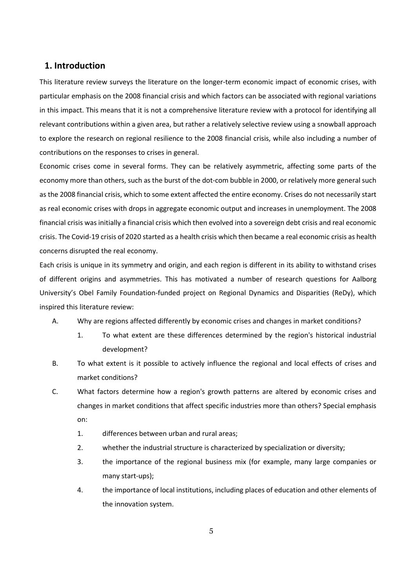# **1. Introduction**

This literature review surveys the literature on the longer-term economic impact of economic crises, with particular emphasis on the 2008 financial crisis and which factors can be associated with regional variations in this impact. This means that it is not a comprehensive literature review with a protocol for identifying all relevant contributions within a given area, but rather a relatively selective review using a snowball approach to explore the research on regional resilience to the 2008 financial crisis, while also including a number of contributions on the responses to crises in general.

Economic crises come in several forms. They can be relatively asymmetric, affecting some parts of the economy more than others, such as the burst of the dot-com bubble in 2000, or relatively more general such as the 2008 financial crisis, which to some extent affected the entire economy. Crises do not necessarily start as real economic crises with drops in aggregate economic output and increases in unemployment. The 2008 financial crisis was initially a financial crisis which then evolved into a sovereign debt crisis and real economic crisis. The Covid-19 crisis of 2020 started as a health crisis which then became a real economic crisis as health concerns disrupted the real economy.

Each crisis is unique in its symmetry and origin, and each region is different in its ability to withstand crises of different origins and asymmetries. This has motivated a number of research questions for Aalborg University's Obel Family Foundation-funded project on Regional Dynamics and Disparities (ReDy), which inspired this literature review:

- A. Why are regions affected differently by economic crises and changes in market conditions?
	- 1. To what extent are these differences determined by the region's historical industrial development?
- B. To what extent is it possible to actively influence the regional and local effects of crises and market conditions?
- C. What factors determine how a region's growth patterns are altered by economic crises and changes in market conditions that affect specific industries more than others? Special emphasis on:
	- 1. differences between urban and rural areas;
	- 2. whether the industrial structure is characterized by specialization or diversity;
	- 3. the importance of the regional business mix (for example, many large companies or many start-ups);
	- 4. the importance of local institutions, including places of education and other elements of the innovation system.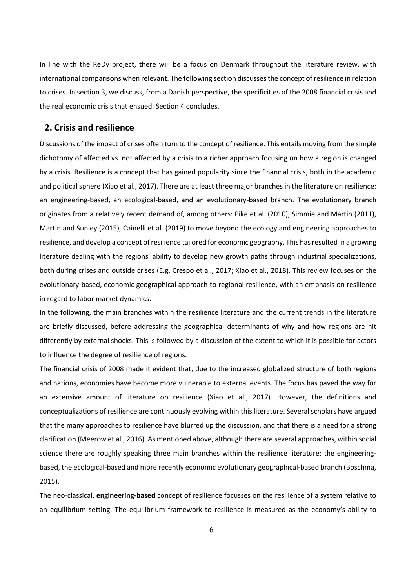In line with the ReDy project, there will be a focus on Denmark throughout the literature review, with international comparisons when relevant. The following section discusses the concept of resilience in relation to crises. In section 3, we discuss, from a Danish perspective, the specificities of the 2008 financial crisis and the real economic crisis that ensued. Section 4 concludes.

# **2. Crisis and resilience**

Discussions of the impact of crises often turn to the concept of resilience. This entails moving from the simple dichotomy of affected vs. not affected by a crisis to a richer approach focusing on how a region is changed by a crisis. Resilience is a concept that has gained popularity since the financial crisis, both in the academic and political sphere (Xiao et al., 2017). There are at least three major branches in the literature on resilience: an engineering-based, an ecological-based, and an evolutionary-based branch. The evolutionary branch originates from a relatively recent demand of, among others: Pike et al. (2010), Simmie and Martin (2011), Martin and Sunley (2015), Cainelli et al. (2019) to move beyond the ecology and engineering approaches to resilience, and develop a concept of resilience tailored for economic geography. This has resulted in a growing literature dealing with the regions' ability to develop new growth paths through industrial specializations, both during crises and outside crises (E.g. Crespo et al., 2017; Xiao et al., 2018). This review focuses on the evolutionary-based, economic geographical approach to regional resilience, with an emphasis on resilience in regard to labor market dynamics.

In the following, the main branches within the resilience literature and the current trends in the literature are briefly discussed, before addressing the geographical determinants of why and how regions are hit differently by external shocks. This is followed by a discussion of the extent to which it is possible for actors to influence the degree of resilience of regions.

The financial crisis of 2008 made it evident that, due to the increased globalized structure of both regions and nations, economies have become more vulnerable to external events. The focus has paved the way for an extensive amount of literature on resilience (Xiao et al., 2017). However, the definitions and conceptualizations of resilience are continuously evolving within this literature. Several scholars have argued that the many approaches to resilience have blurred up the discussion, and that there is a need for a strong clarification (Meerow et al., 2016). As mentioned above, although there are several approaches, within social science there are roughly speaking three main branches within the resilience literature: the engineeringbased, the ecological-based and more recently economic evolutionary geographical-based branch (Boschma, 2015).

The neo-classical, **engineering-based** concept of resilience focusses on the resilience of a system relative to an equilibrium setting. The equilibrium framework to resilience is measured as the economy's ability to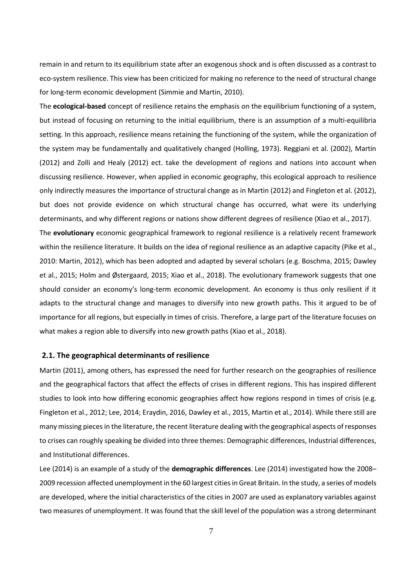remain in and return to its equilibrium state after an exogenous shock and is often discussed as a contrast to eco-system resilience. This view has been criticized for making no reference to the need of structural change for long-term economic development (Simmie and Martin, 2010).

The **ecological-based** concept of resilience retains the emphasis on the equilibrium functioning of a system, but instead of focusing on returning to the initial equilibrium, there is an assumption of a multi-equilibria setting. In this approach, resilience means retaining the functioning of the system, while the organization of the system may be fundamentally and qualitatively changed (Holling, 1973). Reggiani et al. (2002), Martin (2012) and Zolli and Healy (2012) ect. take the development of regions and nations into account when discussing resilience. However, when applied in economic geography, this ecological approach to resilience only indirectly measures the importance of structural change as in Martin (2012) and Fingleton et al. (2012), but does not provide evidence on which structural change has occurred, what were its underlying determinants, and why different regions or nations show different degrees of resilience (Xiao et al., 2017). The **evolutionary** economic geographical framework to regional resilience is a relatively recent framework within the resilience literature. It builds on the idea of regional resilience as an adaptive capacity (Pike et al., 2010: Martin, 2012), which has been adopted and adapted by several scholars (e.g. Boschma, 2015; Dawley et al., 2015; Holm and Østergaard, 2015; Xiao et al., 2018). The evolutionary framework suggests that one should consider an economy's long-term economic development. An economy is thus only resilient if it adapts to the structural change and manages to diversify into new growth paths. This it argued to be of importance for all regions, but especially in times of crisis. Therefore, a large part of the literature focuses on what makes a region able to diversify into new growth paths (Xiao et al., 2018).

#### **2.1. The geographical determinants of resilience**

Martin (2011), among others, has expressed the need for further research on the geographies of resilience and the geographical factors that affect the effects of crises in different regions. This has inspired different studies to look into how differing economic geographies affect how regions respond in times of crisis (e.g. Fingleton et al., 2012; Lee, 2014; Eraydin, 2016, Dawley et al., 2015, Martin et al., 2014). While there still are many missing pieces in the literature, the recent literature dealing with the geographical aspects of responses to crises can roughly speaking be divided into three themes: Demographic differences, Industrial differences, and Institutional differences.

Lee (2014) is an example of a study of the **demographic differences**. Lee (2014) investigated how the 2008– 2009 recession affected unemployment in the 60 largest cities in Great Britain. In the study, a series of models are developed, where the initial characteristics of the cities in 2007 are used as explanatory variables against two measures of unemployment. It was found that the skill level of the population was a strong determinant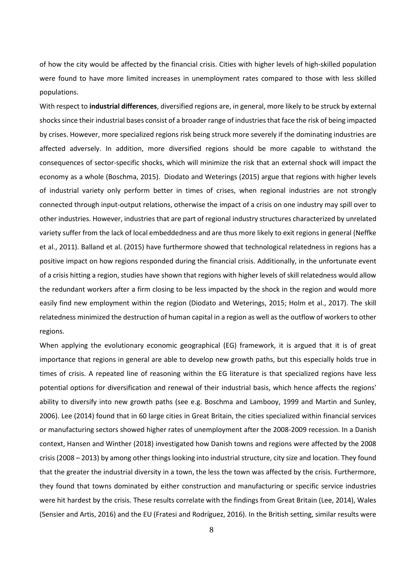of how the city would be affected by the financial crisis. Cities with higher levels of high-skilled population were found to have more limited increases in unemployment rates compared to those with less skilled populations.

With respect to **industrial differences**, diversified regions are, in general, more likely to be struck by external shocks since their industrial bases consist of a broader range of industries that face the risk of being impacted by crises. However, more specialized regions risk being struck more severely if the dominating industries are affected adversely. In addition, more diversified regions should be more capable to withstand the consequences of sector-specific shocks, which will minimize the risk that an external shock will impact the economy as a whole (Boschma, 2015). Diodato and Weterings (2015) argue that regions with higher levels of industrial variety only perform better in times of crises, when regional industries are not strongly connected through input-output relations, otherwise the impact of a crisis on one industry may spill over to other industries. However, industries that are part of regional industry structures characterized by unrelated variety suffer from the lack of local embeddedness and are thus more likely to exit regions in general (Neffke et al., 2011). Balland et al. (2015) have furthermore showed that technological relatedness in regions has a positive impact on how regions responded during the financial crisis. Additionally, in the unfortunate event of a crisis hitting a region, studies have shown that regions with higher levels of skill relatedness would allow the redundant workers after a firm closing to be less impacted by the shock in the region and would more easily find new employment within the region (Diodato and Weterings, 2015; Holm et al., 2017). The skill relatedness minimized the destruction of human capital in a region as well as the outflow of workers to other regions.

When applying the evolutionary economic geographical (EG) framework, it is argued that it is of great importance that regions in general are able to develop new growth paths, but this especially holds true in times of crisis. A repeated line of reasoning within the EG literature is that specialized regions have less potential options for diversification and renewal of their industrial basis, which hence affects the regions' ability to diversify into new growth paths (see e.g. Boschma and Lambooy, 1999 and Martin and Sunley, 2006). Lee (2014) found that in 60 large cities in Great Britain, the cities specialized within financial services or manufacturing sectors showed higher rates of unemployment after the 2008-2009 recession. In a Danish context, Hansen and Winther (2018) investigated how Danish towns and regions were affected by the 2008 crisis (2008 – 2013) by among other things looking into industrial structure, city size and location. They found that the greater the industrial diversity in a town, the less the town was affected by the crisis. Furthermore, they found that towns dominated by either construction and manufacturing or specific service industries were hit hardest by the crisis. These results correlate with the findings from Great Britain (Lee, 2014), Wales (Sensier and Artis, 2016) and the EU (Fratesi and Rodríguez, 2016). In the British setting, similar results were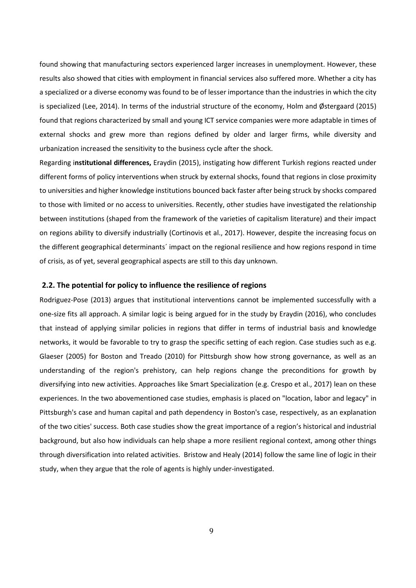found showing that manufacturing sectors experienced larger increases in unemployment. However, these results also showed that cities with employment in financial services also suffered more. Whether a city has a specialized or a diverse economy was found to be of lesser importance than the industries in which the city is specialized (Lee, 2014). In terms of the industrial structure of the economy, Holm and Østergaard (2015) found that regions characterized by small and young ICT service companies were more adaptable in times of external shocks and grew more than regions defined by older and larger firms, while diversity and urbanization increased the sensitivity to the business cycle after the shock.

Regarding i**nstitutional differences,** Eraydin (2015), instigating how different Turkish regions reacted under different forms of policy interventions when struck by external shocks, found that regions in close proximity to universities and higher knowledge institutions bounced back faster after being struck by shocks compared to those with limited or no access to universities. Recently, other studies have investigated the relationship between institutions (shaped from the framework of the varieties of capitalism literature) and their impact on regions ability to diversify industrially (Cortinovis et al., 2017). However, despite the increasing focus on the different geographical determinants´ impact on the regional resilience and how regions respond in time of crisis, as of yet, several geographical aspects are still to this day unknown.

#### **2.2. The potential for policy to influence the resilience of regions**

Rodriguez-Pose (2013) argues that institutional interventions cannot be implemented successfully with a one-size fits all approach. A similar logic is being argued for in the study by Eraydin (2016), who concludes that instead of applying similar policies in regions that differ in terms of industrial basis and knowledge networks, it would be favorable to try to grasp the specific setting of each region. Case studies such as e.g. Glaeser (2005) for Boston and Treado (2010) for Pittsburgh show how strong governance, as well as an understanding of the region's prehistory, can help regions change the preconditions for growth by diversifying into new activities. Approaches like Smart Specialization (e.g. Crespo et al., 2017) lean on these experiences. In the two abovementioned case studies, emphasis is placed on "location, labor and legacy" in Pittsburgh's case and human capital and path dependency in Boston's case, respectively, as an explanation of the two cities' success. Both case studies show the great importance of a region's historical and industrial background, but also how individuals can help shape a more resilient regional context, among other things through diversification into related activities. Bristow and Healy (2014) follow the same line of logic in their study, when they argue that the role of agents is highly under-investigated.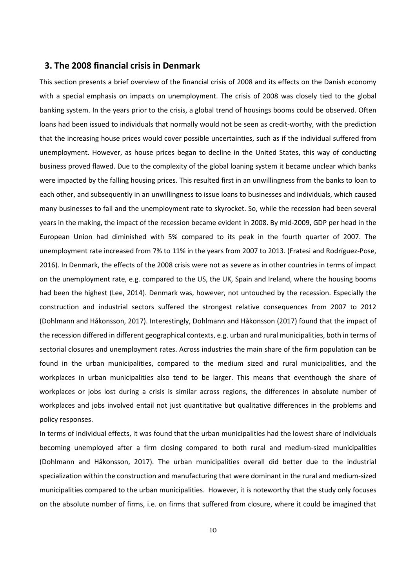# **3. The 2008 financial crisis in Denmark**

This section presents a brief overview of the financial crisis of 2008 and its effects on the Danish economy with a special emphasis on impacts on unemployment. The crisis of 2008 was closely tied to the global banking system. In the years prior to the crisis, a global trend of housings booms could be observed. Often loans had been issued to individuals that normally would not be seen as credit-worthy, with the prediction that the increasing house prices would cover possible uncertainties, such as if the individual suffered from unemployment. However, as house prices began to decline in the United States, this way of conducting business proved flawed. Due to the complexity of the global loaning system it became unclear which banks were impacted by the falling housing prices. This resulted first in an unwillingness from the banks to loan to each other, and subsequently in an unwillingness to issue loans to businesses and individuals, which caused many businesses to fail and the unemployment rate to skyrocket. So, while the recession had been several years in the making, the impact of the recession became evident in 2008. By mid-2009, GDP per head in the European Union had diminished with 5% compared to its peak in the fourth quarter of 2007. The unemployment rate increased from 7% to 11% in the years from 2007 to 2013. (Fratesi and Rodríguez-Pose, 2016). In Denmark, the effects of the 2008 crisis were not as severe as in other countries in terms of impact on the unemployment rate, e.g. compared to the US, the UK, Spain and Ireland, where the housing booms had been the highest (Lee, 2014). Denmark was, however, not untouched by the recession. Especially the construction and industrial sectors suffered the strongest relative consequences from 2007 to 2012 (Dohlmann and Håkonsson, 2017). Interestingly, Dohlmann and Håkonsson (2017) found that the impact of the recession differed in different geographical contexts, e.g. urban and rural municipalities, both in terms of sectorial closures and unemployment rates. Across industries the main share of the firm population can be found in the urban municipalities, compared to the medium sized and rural municipalities, and the workplaces in urban municipalities also tend to be larger. This means that eventhough the share of workplaces or jobs lost during a crisis is similar across regions, the differences in absolute number of workplaces and jobs involved entail not just quantitative but qualitative differences in the problems and policy responses.

In terms of individual effects, it was found that the urban municipalities had the lowest share of individuals becoming unemployed after a firm closing compared to both rural and medium-sized municipalities (Dohlmann and Håkonsson, 2017). The urban municipalities overall did better due to the industrial specialization within the construction and manufacturing that were dominant in the rural and medium-sized municipalities compared to the urban municipalities. However, it is noteworthy that the study only focuses on the absolute number of firms, i.e. on firms that suffered from closure, where it could be imagined that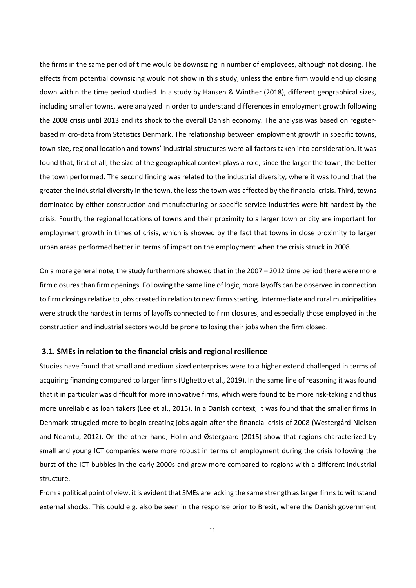the firms in the same period of time would be downsizing in number of employees, although not closing. The effects from potential downsizing would not show in this study, unless the entire firm would end up closing down within the time period studied. In a study by Hansen & Winther (2018), different geographical sizes, including smaller towns, were analyzed in order to understand differences in employment growth following the 2008 crisis until 2013 and its shock to the overall Danish economy. The analysis was based on registerbased micro-data from Statistics Denmark. The relationship between employment growth in specific towns, town size, regional location and towns' industrial structures were all factors taken into consideration. It was found that, first of all, the size of the geographical context plays a role, since the larger the town, the better the town performed. The second finding was related to the industrial diversity, where it was found that the greater the industrial diversity in the town, the less the town was affected by the financial crisis. Third, towns dominated by either construction and manufacturing or specific service industries were hit hardest by the crisis. Fourth, the regional locations of towns and their proximity to a larger town or city are important for employment growth in times of crisis, which is showed by the fact that towns in close proximity to larger urban areas performed better in terms of impact on the employment when the crisis struck in 2008.

On a more general note, the study furthermore showed that in the 2007 – 2012 time period there were more firm closures than firm openings. Following the same line of logic, more layoffs can be observed in connection to firm closings relative to jobs created in relation to new firms starting. Intermediate and rural municipalities were struck the hardest in terms of layoffs connected to firm closures, and especially those employed in the construction and industrial sectors would be prone to losing their jobs when the firm closed.

#### **3.1. SMEs in relation to the financial crisis and regional resilience**

Studies have found that small and medium sized enterprises were to a higher extend challenged in terms of acquiring financing compared to larger firms (Ughetto et al., 2019). In the same line of reasoning it was found that it in particular was difficult for more innovative firms, which were found to be more risk-taking and thus more unreliable as loan takers (Lee et al., 2015). In a Danish context, it was found that the smaller firms in Denmark struggled more to begin creating jobs again after the financial crisis of 2008 (Westergård-Nielsen and Neamtu, 2012). On the other hand, Holm and Østergaard (2015) show that regions characterized by small and young ICT companies were more robust in terms of employment during the crisis following the burst of the ICT bubbles in the early 2000s and grew more compared to regions with a different industrial structure.

From a political point of view, it is evident that SMEs are lacking the same strength as larger firms to withstand external shocks. This could e.g. also be seen in the response prior to Brexit, where the Danish government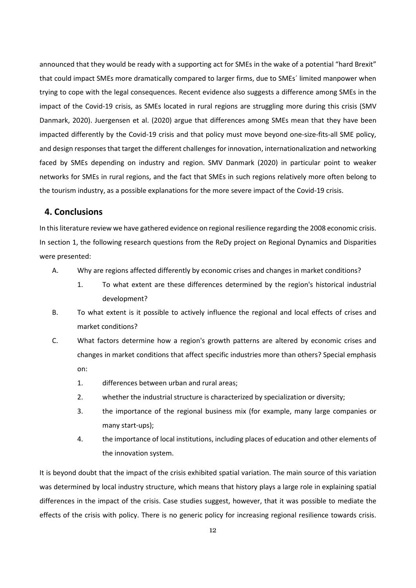announced that they would be ready with a supporting act for SMEs in the wake of a potential "hard Brexit" that could impact SMEs more dramatically compared to larger firms, due to SMEs´ limited manpower when trying to cope with the legal consequences. Recent evidence also suggests a difference among SMEs in the impact of the Covid-19 crisis, as SMEs located in rural regions are struggling more during this crisis (SMV Danmark, 2020). Juergensen et al. (2020) argue that differences among SMEs mean that they have been impacted differently by the Covid-19 crisis and that policy must move beyond one-size-fits-all SME policy, and design responses that target the different challenges for innovation, internationalization and networking faced by SMEs depending on industry and region. SMV Danmark (2020) in particular point to weaker networks for SMEs in rural regions, and the fact that SMEs in such regions relatively more often belong to the tourism industry, as a possible explanations for the more severe impact of the Covid-19 crisis.

# **4. Conclusions**

In this literature review we have gathered evidence on regional resilience regarding the 2008 economic crisis. In section 1, the following research questions from the ReDy project on Regional Dynamics and Disparities were presented:

- A. Why are regions affected differently by economic crises and changes in market conditions?
	- 1. To what extent are these differences determined by the region's historical industrial development?
- B. To what extent is it possible to actively influence the regional and local effects of crises and market conditions?
- C. What factors determine how a region's growth patterns are altered by economic crises and changes in market conditions that affect specific industries more than others? Special emphasis on:
	- 1. differences between urban and rural areas;
	- 2. whether the industrial structure is characterized by specialization or diversity;
	- 3. the importance of the regional business mix (for example, many large companies or many start-ups);
	- 4. the importance of local institutions, including places of education and other elements of the innovation system.

It is beyond doubt that the impact of the crisis exhibited spatial variation. The main source of this variation was determined by local industry structure, which means that history plays a large role in explaining spatial differences in the impact of the crisis. Case studies suggest, however, that it was possible to mediate the effects of the crisis with policy. There is no generic policy for increasing regional resilience towards crisis.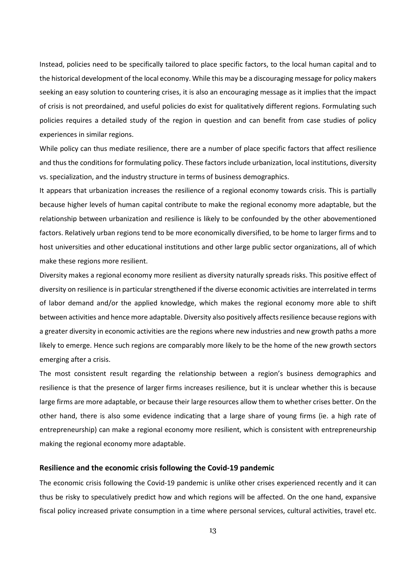Instead, policies need to be specifically tailored to place specific factors, to the local human capital and to the historical development of the local economy. While this may be a discouraging message for policy makers seeking an easy solution to countering crises, it is also an encouraging message as it implies that the impact of crisis is not preordained, and useful policies do exist for qualitatively different regions. Formulating such policies requires a detailed study of the region in question and can benefit from case studies of policy experiences in similar regions.

While policy can thus mediate resilience, there are a number of place specific factors that affect resilience and thus the conditions for formulating policy. These factors include urbanization, local institutions, diversity vs. specialization, and the industry structure in terms of business demographics.

It appears that urbanization increases the resilience of a regional economy towards crisis. This is partially because higher levels of human capital contribute to make the regional economy more adaptable, but the relationship between urbanization and resilience is likely to be confounded by the other abovementioned factors. Relatively urban regions tend to be more economically diversified, to be home to larger firms and to host universities and other educational institutions and other large public sector organizations, all of which make these regions more resilient.

Diversity makes a regional economy more resilient as diversity naturally spreads risks. This positive effect of diversity on resilience is in particular strengthened if the diverse economic activities are interrelated in terms of labor demand and/or the applied knowledge, which makes the regional economy more able to shift between activities and hence more adaptable. Diversity also positively affects resilience because regions with a greater diversity in economic activities are the regions where new industries and new growth paths a more likely to emerge. Hence such regions are comparably more likely to be the home of the new growth sectors emerging after a crisis.

The most consistent result regarding the relationship between a region's business demographics and resilience is that the presence of larger firms increases resilience, but it is unclear whether this is because large firms are more adaptable, or because their large resources allow them to whether crises better. On the other hand, there is also some evidence indicating that a large share of young firms (ie. a high rate of entrepreneurship) can make a regional economy more resilient, which is consistent with entrepreneurship making the regional economy more adaptable.

#### **Resilience and the economic crisis following the Covid-19 pandemic**

The economic crisis following the Covid-19 pandemic is unlike other crises experienced recently and it can thus be risky to speculatively predict how and which regions will be affected. On the one hand, expansive fiscal policy increased private consumption in a time where personal services, cultural activities, travel etc.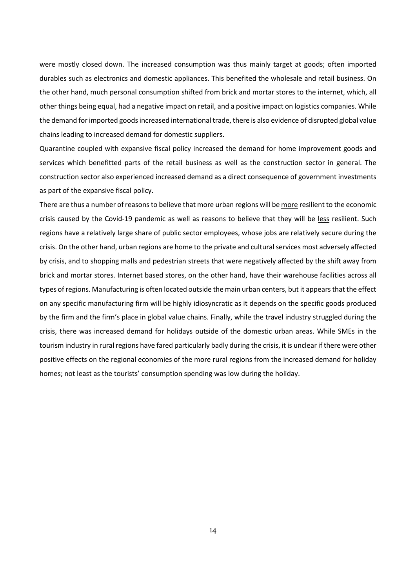were mostly closed down. The increased consumption was thus mainly target at goods; often imported durables such as electronics and domestic appliances. This benefited the wholesale and retail business. On the other hand, much personal consumption shifted from brick and mortar stores to the internet, which, all other things being equal, had a negative impact on retail, and a positive impact on logistics companies. While the demand for imported goods increased international trade, there is also evidence of disrupted global value chains leading to increased demand for domestic suppliers.

Quarantine coupled with expansive fiscal policy increased the demand for home improvement goods and services which benefitted parts of the retail business as well as the construction sector in general. The construction sector also experienced increased demand as a direct consequence of government investments as part of the expansive fiscal policy.

There are thus a number of reasons to believe that more urban regions will be more resilient to the economic crisis caused by the Covid-19 pandemic as well as reasons to believe that they will be less resilient. Such regions have a relatively large share of public sector employees, whose jobs are relatively secure during the crisis. On the other hand, urban regions are home to the private and cultural services most adversely affected by crisis, and to shopping malls and pedestrian streets that were negatively affected by the shift away from brick and mortar stores. Internet based stores, on the other hand, have their warehouse facilities across all types of regions. Manufacturing is often located outside the main urban centers, but it appears that the effect on any specific manufacturing firm will be highly idiosyncratic as it depends on the specific goods produced by the firm and the firm's place in global value chains. Finally, while the travel industry struggled during the crisis, there was increased demand for holidays outside of the domestic urban areas. While SMEs in the tourism industry in rural regions have fared particularly badly during the crisis, it is unclear if there were other positive effects on the regional economies of the more rural regions from the increased demand for holiday homes; not least as the tourists' consumption spending was low during the holiday.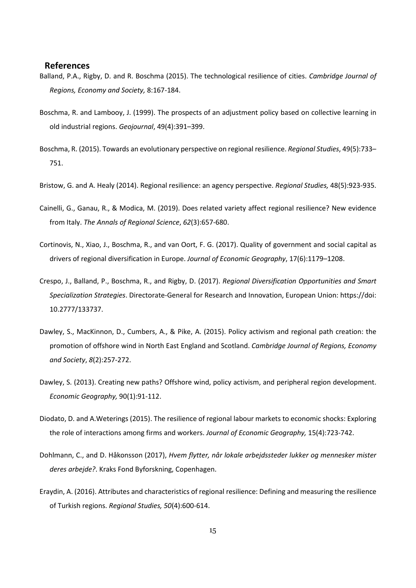# **References**

- Balland, P.A., Rigby, D. and R. Boschma (2015). The technological resilience of cities. *Cambridge Journal of Regions, Economy and Society,* 8:167-184.
- Boschma, R. and Lambooy, J. (1999). The prospects of an adjustment policy based on collective learning in old industrial regions. *Geojournal*, 49(4):391–399.
- Boschma, R. (2015). Towards an evolutionary perspective on regional resilience. *Regional Studies*, 49(5):733– 751.
- Bristow, G. and A. Healy (2014). Regional resilience: an agency perspective. *Regional Studies,* 48(5):923-935.
- Cainelli, G., Ganau, R., & Modica, M. (2019). Does related variety affect regional resilience? New evidence from Italy. *The Annals of Regional Science*, *62*(3):657-680.
- Cortinovis, N., Xiao, J., Boschma, R., and van Oort, F. G. (2017). Quality of government and social capital as drivers of regional diversification in Europe. *Journal of Economic Geography*, 17(6):1179–1208.
- Crespo, J., Balland, P., Boschma, R., and Rigby, D. (2017). *Regional Diversification Opportunities and Smart Specialization Strategies*. Directorate-General for Research and Innovation, European Union: https://doi: 10.2777/133737.
- Dawley, S., MacKinnon, D., Cumbers, A., & Pike, A. (2015). Policy activism and regional path creation: the promotion of offshore wind in North East England and Scotland. *Cambridge Journal of Regions, Economy and Society*, *8*(2):257-272.
- Dawley, S. (2013). Creating new paths? Offshore wind, policy activism, and peripheral region development. *Economic Geography,* 90(1):91-112.
- Diodato, D. and A.Weterings (2015). The resilience of regional labour markets to economic shocks: Exploring the role of interactions among firms and workers. *Journal of Economic Geography,* 15(4):723-742.
- Dohlmann, C., and D. Håkonsson (2017), *Hvem flytter, når lokale arbejdssteder lukker og mennesker mister deres arbejde?*. Kraks Fond Byforskning, Copenhagen.
- Eraydin, A. (2016). Attributes and characteristics of regional resilience: Defining and measuring the resilience of Turkish regions. *Regional Studies, 50*(4):600-614.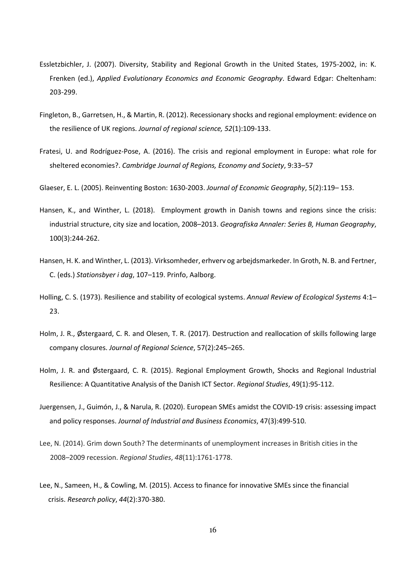- Essletzbichler, J. (2007). Diversity, Stability and Regional Growth in the United States, 1975-2002, in: K. Frenken (ed.), *Applied Evolutionary Economics and Economic Geography*. Edward Edgar: Cheltenham: 203-299.
- Fingleton, B., Garretsen, H., & Martin, R. (2012). Recessionary shocks and regional employment: evidence on the resilience of UK regions. *Journal of regional science, 52*(1):109-133.
- Fratesi, U. and Rodríguez-Pose, A. (2016). The crisis and regional employment in Europe: what role for sheltered economies?. *Cambridge Journal of Regions, Economy and Society*, 9:33–57

Glaeser, E. L. (2005). Reinventing Boston: 1630-2003. *Journal of Economic Geography*, 5(2):119– 153.

- Hansen, K., and Winther, L. (2018). Employment growth in Danish towns and regions since the crisis: industrial structure, city size and location, 2008–2013. *Geografiska Annaler: Series B, Human Geography*, 100(3):244-262.
- Hansen, H. K. and Winther, L. (2013). Virksomheder, erhverv og arbejdsmarkeder. In Groth, N. B. and Fertner, C. (eds.) *Stationsbyer i dag*, 107–119. Prinfo, Aalborg.
- Holling, C. S. (1973). Resilience and stability of ecological systems. *Annual Review of Ecological Systems* 4:1– 23.
- Holm, J. R., Østergaard, C. R. and Olesen, T. R. (2017). Destruction and reallocation of skills following large company closures. *Journal of Regional Science*, 57(2):245–265.
- Holm, J. R. and Østergaard, C. R. (2015). Regional Employment Growth, Shocks and Regional Industrial Resilience: A Quantitative Analysis of the Danish ICT Sector. *Regional Studies*, 49(1):95-112.
- Juergensen, J., Guimón, J., & Narula, R. (2020). European SMEs amidst the COVID-19 crisis: assessing impact and policy responses. *Journal of Industrial and Business Economics*, 47(3):499-510.
- Lee, N. (2014). Grim down South? The determinants of unemployment increases in British cities in the 2008–2009 recession. *Regional Studies*, *48*(11):1761-1778.
- Lee, N., Sameen, H., & Cowling, M. (2015). Access to finance for innovative SMEs since the financial crisis. *Research policy*, *44*(2):370-380.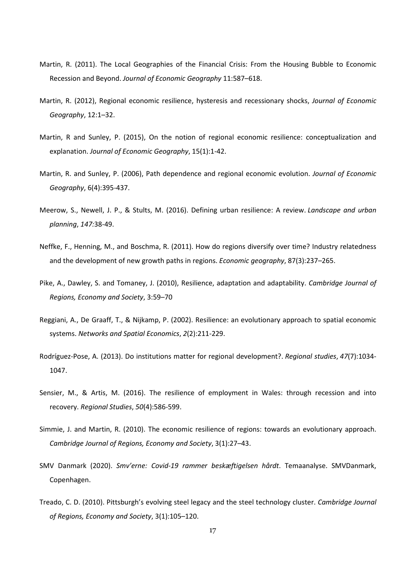- Martin, R. (2011). The Local Geographies of the Financial Crisis: From the Housing Bubble to Economic Recession and Beyond. *Journal of Economic Geography* 11:587–618.
- Martin, R. (2012), Regional economic resilience, hysteresis and recessionary shocks, *Journal of Economic Geography*, 12:1–32.
- Martin, R and Sunley, P. (2015), On the notion of regional economic resilience: conceptualization and explanation. *Journal of Economic Geography*, 15(1):1-42.
- Martin, R. and Sunley, P. (2006), Path dependence and regional economic evolution. *Journal of Economic Geography*, 6(4):395-437.
- Meerow, S., Newell, J. P., & Stults, M. (2016). Defining urban resilience: A review. *Landscape and urban planning*, *147:*38-49.
- Neffke, F., Henning, M., and Boschma, R. (2011). How do regions diversify over time? Industry relatedness and the development of new growth paths in regions. *Economic geography*, 87(3):237–265.
- Pike, A., Dawley, S. and Tomaney, J. (2010), Resilience, adaptation and adaptability. *Cambridge Journal of Regions, Economy and Society*, 3:59–70
- Reggiani, A., De Graaff, T., & Nijkamp, P. (2002). Resilience: an evolutionary approach to spatial economic systems. *Networks and Spatial Economics*, *2*(2):211-229.
- Rodríguez-Pose, A. (2013). Do institutions matter for regional development?. *Regional studies*, *47*(7):1034- 1047.
- Sensier, M., & Artis, M. (2016). The resilience of employment in Wales: through recession and into recovery. *Regional Studies*, *50*(4):586-599.
- Simmie, J. and Martin, R. (2010). The economic resilience of regions: towards an evolutionary approach. *Cambridge Journal of Regions, Economy and Society*, 3(1):27–43.
- SMV Danmark (2020). *Smv'erne: Covid-19 rammer beskæftigelsen hårdt*. Temaanalyse. SMVDanmark, Copenhagen.
- Treado, C. D. (2010). Pittsburgh's evolving steel legacy and the steel technology cluster. *Cambridge Journal of Regions, Economy and Society*, 3(1):105–120.